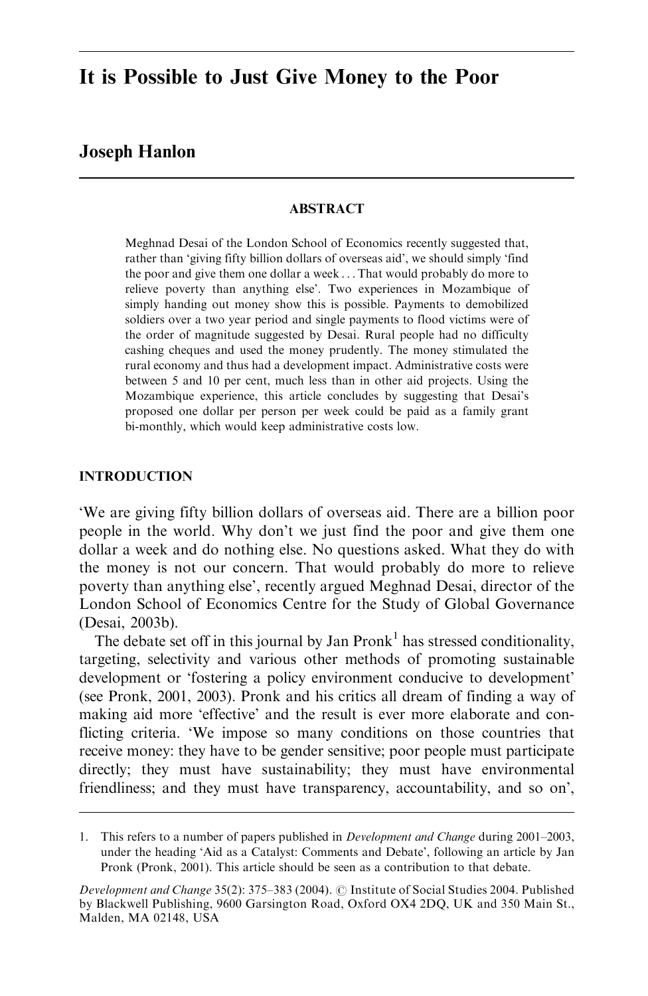# It is Possible to Just Give Money to the Poor

# Joseph Hanlon

#### ABSTRACT

Meghnad Desai of the London School of Economics recently suggested that, rather than 'giving fifty billion dollars of overseas aid', we should simply 'find the poor and give them one dollar a week . . . That would probably do more to relieve poverty than anything else'. Two experiences in Mozambique of simply handing out money show this is possible. Payments to demobilized soldiers over a two year period and single payments to flood victims were of the order of magnitude suggested by Desai. Rural people had no difficulty cashing cheques and used the money prudently. The money stimulated the rural economy and thus had a development impact. Administrative costs were between 5 and 10 per cent, much less than in other aid projects. Using the Mozambique experience, this article concludes by suggesting that Desai's proposed one dollar per person per week could be paid as a family grant bi-monthly, which would keep administrative costs low.

#### INTRODUCTION

'We are giving fifty billion dollars of overseas aid. There are a billion poor people in the world. Why don't we just find the poor and give them one dollar a week and do nothing else. No questions asked. What they do with the money is not our concern. That would probably do more to relieve poverty than anything else', recently argued Meghnad Desai, director of the London School of Economics Centre for the Study of Global Governance (Desai, 2003b).

The debate set off in this journal by Jan Pronk<sup>1</sup> has stressed conditionality, targeting, selectivity and various other methods of promoting sustainable development or 'fostering a policy environment conducive to development' (see Pronk, 2001, 2003). Pronk and his critics all dream of finding a way of making aid more 'effective' and the result is ever more elaborate and conflicting criteria. 'We impose so many conditions on those countries that receive money: they have to be gender sensitive; poor people must participate directly; they must have sustainability; they must have environmental friendliness; and they must have transparency, accountability, and so on',

<sup>1.</sup> This refers to a number of papers published in Development and Change during 2001–2003, under the heading 'Aid as a Catalyst: Comments and Debate', following an article by Jan Pronk (Pronk, 2001). This article should be seen as a contribution to that debate.

Development and Change 35(2): 375–383 (2004).  $\odot$  Institute of Social Studies 2004. Published by Blackwell Publishing, 9600 Garsington Road, Oxford OX4 2DQ, UK and 350 Main St., Malden, MA 02148, USA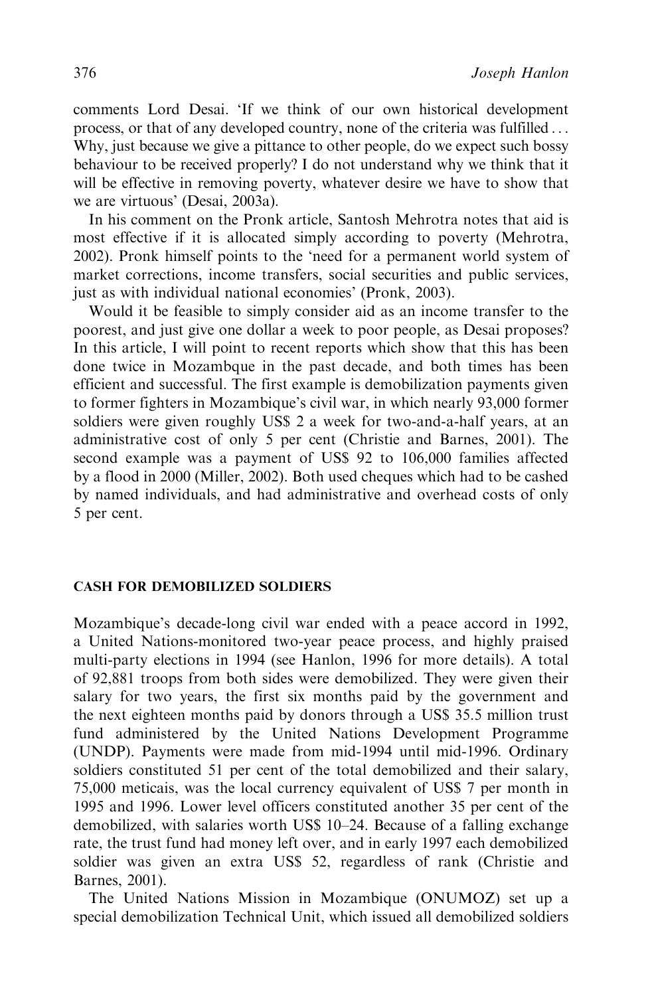comments Lord Desai. 'If we think of our own historical development process, or that of any developed country, none of the criteria was fulfilled . . . Why, just because we give a pittance to other people, do we expect such bossy behaviour to be received properly? I do not understand why we think that it will be effective in removing poverty, whatever desire we have to show that we are virtuous' (Desai, 2003a).

In his comment on the Pronk article, Santosh Mehrotra notes that aid is most effective if it is allocated simply according to poverty (Mehrotra, 2002). Pronk himself points to the 'need for a permanent world system of market corrections, income transfers, social securities and public services, just as with individual national economies' (Pronk, 2003).

Would it be feasible to simply consider aid as an income transfer to the poorest, and just give one dollar a week to poor people, as Desai proposes? In this article, I will point to recent reports which show that this has been done twice in Mozambque in the past decade, and both times has been efficient and successful. The first example is demobilization payments given to former fighters in Mozambique's civil war, in which nearly 93,000 former soldiers were given roughly US\$ 2 a week for two-and-a-half years, at an administrative cost of only 5 per cent (Christie and Barnes, 2001). The second example was a payment of US\$ 92 to 106,000 families affected by a flood in 2000 (Miller, 2002). Both used cheques which had to be cashed by named individuals, and had administrative and overhead costs of only 5 per cent.

#### CASH FOR DEMOBILIZED SOLDIERS

Mozambique's decade-long civil war ended with a peace accord in 1992, a United Nations-monitored two-year peace process, and highly praised multi-party elections in 1994 (see Hanlon, 1996 for more details). A total of 92,881 troops from both sides were demobilized. They were given their salary for two years, the first six months paid by the government and the next eighteen months paid by donors through a US\$ 35.5 million trust fund administered by the United Nations Development Programme (UNDP). Payments were made from mid-1994 until mid-1996. Ordinary soldiers constituted 51 per cent of the total demobilized and their salary, 75,000 meticais, was the local currency equivalent of US\$ 7 per month in 1995 and 1996. Lower level officers constituted another 35 per cent of the demobilized, with salaries worth US\$ 10–24. Because of a falling exchange rate, the trust fund had money left over, and in early 1997 each demobilized soldier was given an extra US\$ 52, regardless of rank (Christie and Barnes, 2001).

The United Nations Mission in Mozambique (ONUMOZ) set up a special demobilization Technical Unit, which issued all demobilized soldiers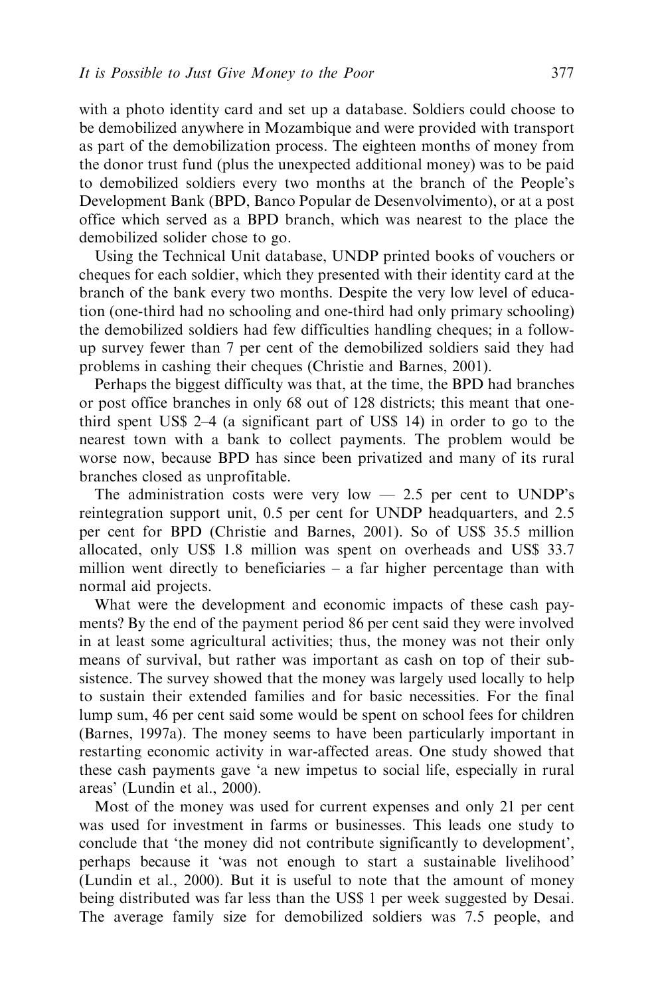with a photo identity card and set up a database. Soldiers could choose to be demobilized anywhere in Mozambique and were provided with transport as part of the demobilization process. The eighteen months of money from the donor trust fund (plus the unexpected additional money) was to be paid to demobilized soldiers every two months at the branch of the People's Development Bank (BPD, Banco Popular de Desenvolvimento), or at a post office which served as a BPD branch, which was nearest to the place the demobilized solider chose to go.

Using the Technical Unit database, UNDP printed books of vouchers or cheques for each soldier, which they presented with their identity card at the branch of the bank every two months. Despite the very low level of education (one-third had no schooling and one-third had only primary schooling) the demobilized soldiers had few difficulties handling cheques; in a followup survey fewer than 7 per cent of the demobilized soldiers said they had problems in cashing their cheques (Christie and Barnes, 2001).

Perhaps the biggest difficulty was that, at the time, the BPD had branches or post office branches in only 68 out of 128 districts; this meant that onethird spent US\$ 2–4 (a significant part of US\$ 14) in order to go to the nearest town with a bank to collect payments. The problem would be worse now, because BPD has since been privatized and many of its rural branches closed as unprofitable.

The administration costs were very low  $-$  2.5 per cent to UNDP's reintegration support unit, 0.5 per cent for UNDP headquarters, and 2.5 per cent for BPD (Christie and Barnes, 2001). So of US\$ 35.5 million allocated, only US\$ 1.8 million was spent on overheads and US\$ 33.7 million went directly to beneficiaries – a far higher percentage than with normal aid projects.

What were the development and economic impacts of these cash payments? By the end of the payment period 86 per cent said they were involved in at least some agricultural activities; thus, the money was not their only means of survival, but rather was important as cash on top of their subsistence. The survey showed that the money was largely used locally to help to sustain their extended families and for basic necessities. For the final lump sum, 46 per cent said some would be spent on school fees for children (Barnes, 1997a). The money seems to have been particularly important in restarting economic activity in war-affected areas. One study showed that these cash payments gave 'a new impetus to social life, especially in rural areas' (Lundin et al., 2000).

Most of the money was used for current expenses and only 21 per cent was used for investment in farms or businesses. This leads one study to conclude that 'the money did not contribute significantly to development', perhaps because it 'was not enough to start a sustainable livelihood' (Lundin et al., 2000). But it is useful to note that the amount of money being distributed was far less than the US\$ 1 per week suggested by Desai. The average family size for demobilized soldiers was 7.5 people, and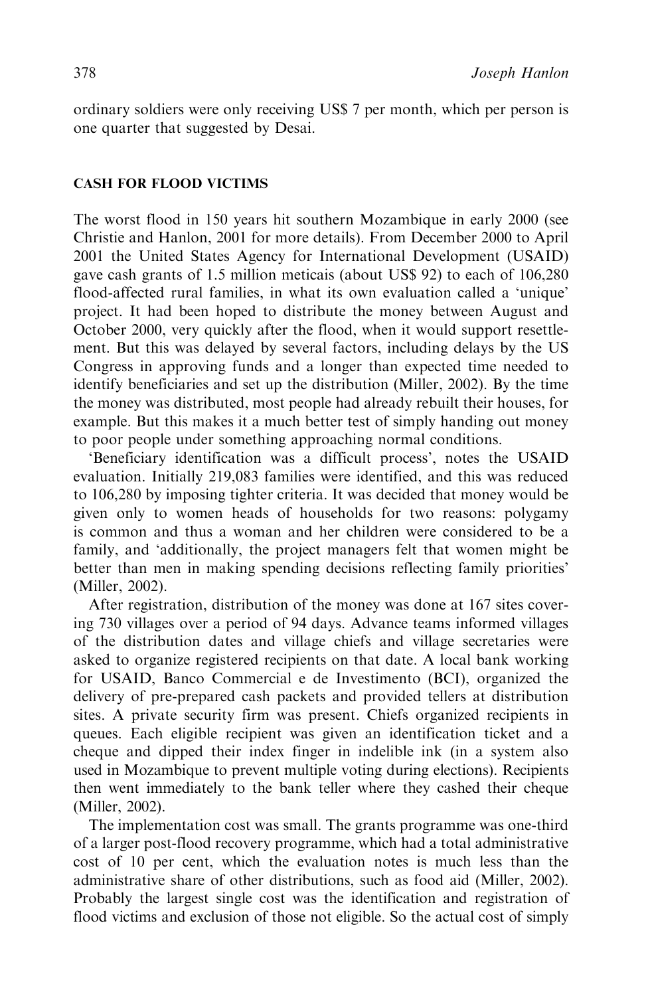ordinary soldiers were only receiving US\$ 7 per month, which per person is one quarter that suggested by Desai.

### CASH FOR FLOOD VICTIMS

The worst flood in 150 years hit southern Mozambique in early 2000 (see Christie and Hanlon, 2001 for more details). From December 2000 to April 2001 the United States Agency for International Development (USAID) gave cash grants of 1.5 million meticais (about US\$ 92) to each of 106,280 flood-affected rural families, in what its own evaluation called a 'unique' project. It had been hoped to distribute the money between August and October 2000, very quickly after the flood, when it would support resettlement. But this was delayed by several factors, including delays by the US Congress in approving funds and a longer than expected time needed to identify beneficiaries and set up the distribution (Miller, 2002). By the time the money was distributed, most people had already rebuilt their houses, for example. But this makes it a much better test of simply handing out money to poor people under something approaching normal conditions.

'Beneficiary identification was a difficult process', notes the USAID evaluation. Initially 219,083 families were identified, and this was reduced to 106,280 by imposing tighter criteria. It was decided that money would be given only to women heads of households for two reasons: polygamy is common and thus a woman and her children were considered to be a family, and 'additionally, the project managers felt that women might be better than men in making spending decisions reflecting family priorities' (Miller, 2002).

After registration, distribution of the money was done at 167 sites covering 730 villages over a period of 94 days. Advance teams informed villages of the distribution dates and village chiefs and village secretaries were asked to organize registered recipients on that date. A local bank working for USAID, Banco Commercial e de Investimento (BCI), organized the delivery of pre-prepared cash packets and provided tellers at distribution sites. A private security firm was present. Chiefs organized recipients in queues. Each eligible recipient was given an identification ticket and a cheque and dipped their index finger in indelible ink (in a system also used in Mozambique to prevent multiple voting during elections). Recipients then went immediately to the bank teller where they cashed their cheque (Miller, 2002).

The implementation cost was small. The grants programme was one-third of a larger post-flood recovery programme, which had a total administrative cost of 10 per cent, which the evaluation notes is much less than the administrative share of other distributions, such as food aid (Miller, 2002). Probably the largest single cost was the identification and registration of flood victims and exclusion of those not eligible. So the actual cost of simply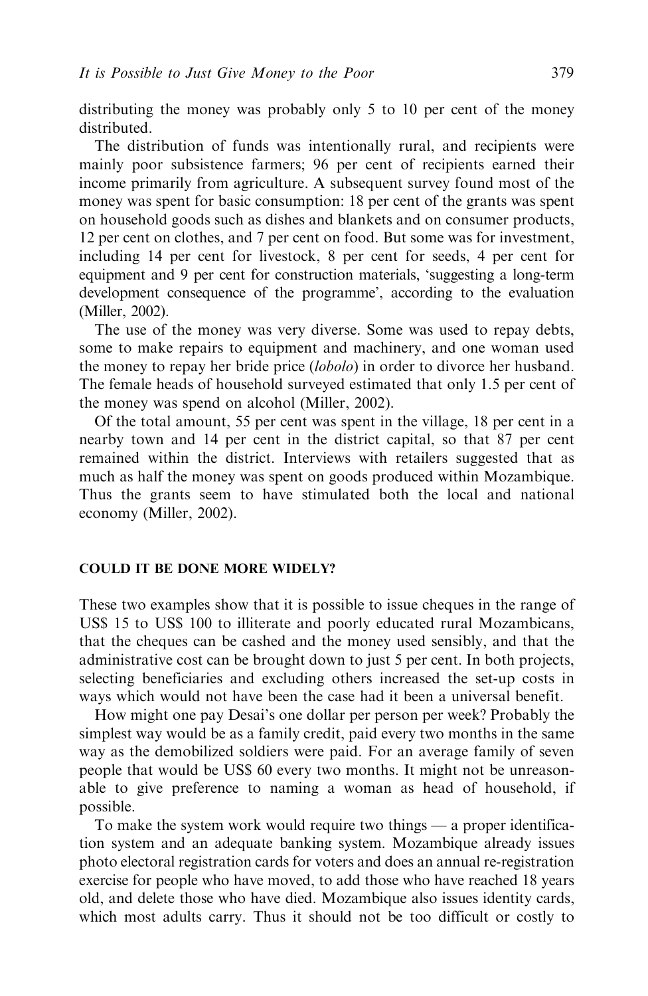distributing the money was probably only 5 to 10 per cent of the money distributed.

The distribution of funds was intentionally rural, and recipients were mainly poor subsistence farmers; 96 per cent of recipients earned their income primarily from agriculture. A subsequent survey found most of the money was spent for basic consumption: 18 per cent of the grants was spent on household goods such as dishes and blankets and on consumer products, 12 per cent on clothes, and 7 per cent on food. But some was for investment, including 14 per cent for livestock, 8 per cent for seeds, 4 per cent for equipment and 9 per cent for construction materials, 'suggesting a long-term development consequence of the programme', according to the evaluation (Miller, 2002).

The use of the money was very diverse. Some was used to repay debts, some to make repairs to equipment and machinery, and one woman used the money to repay her bride price (lobolo) in order to divorce her husband. The female heads of household surveyed estimated that only 1.5 per cent of the money was spend on alcohol (Miller, 2002).

Of the total amount, 55 per cent was spent in the village, 18 per cent in a nearby town and 14 per cent in the district capital, so that 87 per cent remained within the district. Interviews with retailers suggested that as much as half the money was spent on goods produced within Mozambique. Thus the grants seem to have stimulated both the local and national economy (Miller, 2002).

#### COULD IT BE DONE MORE WIDELY?

These two examples show that it is possible to issue cheques in the range of US\$ 15 to US\$ 100 to illiterate and poorly educated rural Mozambicans, that the cheques can be cashed and the money used sensibly, and that the administrative cost can be brought down to just 5 per cent. In both projects, selecting beneficiaries and excluding others increased the set-up costs in ways which would not have been the case had it been a universal benefit.

How might one pay Desai's one dollar per person per week? Probably the simplest way would be as a family credit, paid every two months in the same way as the demobilized soldiers were paid. For an average family of seven people that would be US\$ 60 every two months. It might not be unreasonable to give preference to naming a woman as head of household, if possible.

To make the system work would require two things — a proper identification system and an adequate banking system. Mozambique already issues photo electoral registration cards for voters and does an annual re-registration exercise for people who have moved, to add those who have reached 18 years old, and delete those who have died. Mozambique also issues identity cards, which most adults carry. Thus it should not be too difficult or costly to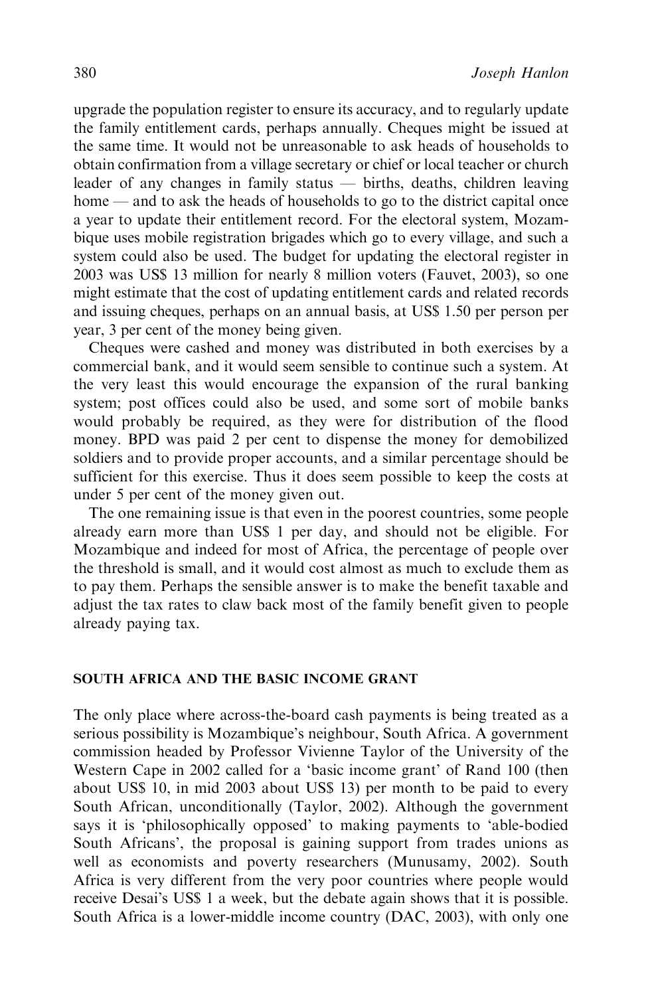upgrade the population register to ensure its accuracy, and to regularly update the family entitlement cards, perhaps annually. Cheques might be issued at the same time. It would not be unreasonable to ask heads of households to obtain confirmation from a village secretary or chief or local teacher or church leader of any changes in family status — births, deaths, children leaving home — and to ask the heads of households to go to the district capital once a year to update their entitlement record. For the electoral system, Mozambique uses mobile registration brigades which go to every village, and such a system could also be used. The budget for updating the electoral register in 2003 was US\$ 13 million for nearly 8 million voters (Fauvet, 2003), so one might estimate that the cost of updating entitlement cards and related records and issuing cheques, perhaps on an annual basis, at US\$ 1.50 per person per year, 3 per cent of the money being given.

Cheques were cashed and money was distributed in both exercises by a commercial bank, and it would seem sensible to continue such a system. At the very least this would encourage the expansion of the rural banking system; post offices could also be used, and some sort of mobile banks would probably be required, as they were for distribution of the flood money. BPD was paid 2 per cent to dispense the money for demobilized soldiers and to provide proper accounts, and a similar percentage should be sufficient for this exercise. Thus it does seem possible to keep the costs at under 5 per cent of the money given out.

The one remaining issue is that even in the poorest countries, some people already earn more than US\$ 1 per day, and should not be eligible. For Mozambique and indeed for most of Africa, the percentage of people over the threshold is small, and it would cost almost as much to exclude them as to pay them. Perhaps the sensible answer is to make the benefit taxable and adjust the tax rates to claw back most of the family benefit given to people already paying tax.

# SOUTH AFRICA AND THE BASIC INCOME GRANT

The only place where across-the-board cash payments is being treated as a serious possibility is Mozambique's neighbour, South Africa. A government commission headed by Professor Vivienne Taylor of the University of the Western Cape in 2002 called for a 'basic income grant' of Rand 100 (then about US\$ 10, in mid 2003 about US\$ 13) per month to be paid to every South African, unconditionally (Taylor, 2002). Although the government says it is 'philosophically opposed' to making payments to 'able-bodied South Africans', the proposal is gaining support from trades unions as well as economists and poverty researchers (Munusamy, 2002). South Africa is very different from the very poor countries where people would receive Desai's US\$ 1 a week, but the debate again shows that it is possible. South Africa is a lower-middle income country (DAC, 2003), with only one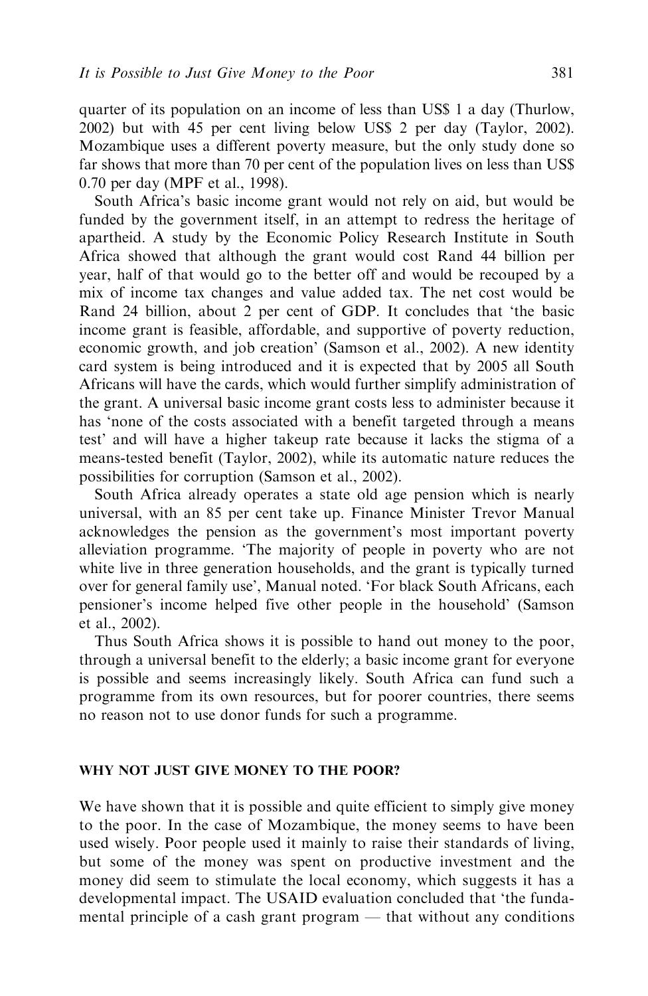quarter of its population on an income of less than US\$ 1 a day (Thurlow, 2002) but with 45 per cent living below US\$ 2 per day (Taylor, 2002). Mozambique uses a different poverty measure, but the only study done so far shows that more than 70 per cent of the population lives on less than US\$ 0.70 per day (MPF et al., 1998).

South Africa's basic income grant would not rely on aid, but would be funded by the government itself, in an attempt to redress the heritage of apartheid. A study by the Economic Policy Research Institute in South Africa showed that although the grant would cost Rand 44 billion per year, half of that would go to the better off and would be recouped by a mix of income tax changes and value added tax. The net cost would be Rand 24 billion, about 2 per cent of GDP. It concludes that 'the basic income grant is feasible, affordable, and supportive of poverty reduction, economic growth, and job creation' (Samson et al., 2002). A new identity card system is being introduced and it is expected that by 2005 all South Africans will have the cards, which would further simplify administration of the grant. A universal basic income grant costs less to administer because it has 'none of the costs associated with a benefit targeted through a means test' and will have a higher takeup rate because it lacks the stigma of a means-tested benefit (Taylor, 2002), while its automatic nature reduces the possibilities for corruption (Samson et al., 2002).

South Africa already operates a state old age pension which is nearly universal, with an 85 per cent take up. Finance Minister Trevor Manual acknowledges the pension as the government's most important poverty alleviation programme. 'The majority of people in poverty who are not white live in three generation households, and the grant is typically turned over for general family use', Manual noted. 'For black South Africans, each pensioner's income helped five other people in the household' (Samson et al., 2002).

Thus South Africa shows it is possible to hand out money to the poor, through a universal benefit to the elderly; a basic income grant for everyone is possible and seems increasingly likely. South Africa can fund such a programme from its own resources, but for poorer countries, there seems no reason not to use donor funds for such a programme.

#### WHY NOT JUST GIVE MONEY TO THE POOR?

We have shown that it is possible and quite efficient to simply give money to the poor. In the case of Mozambique, the money seems to have been used wisely. Poor people used it mainly to raise their standards of living, but some of the money was spent on productive investment and the money did seem to stimulate the local economy, which suggests it has a developmental impact. The USAID evaluation concluded that 'the fundamental principle of a cash grant program — that without any conditions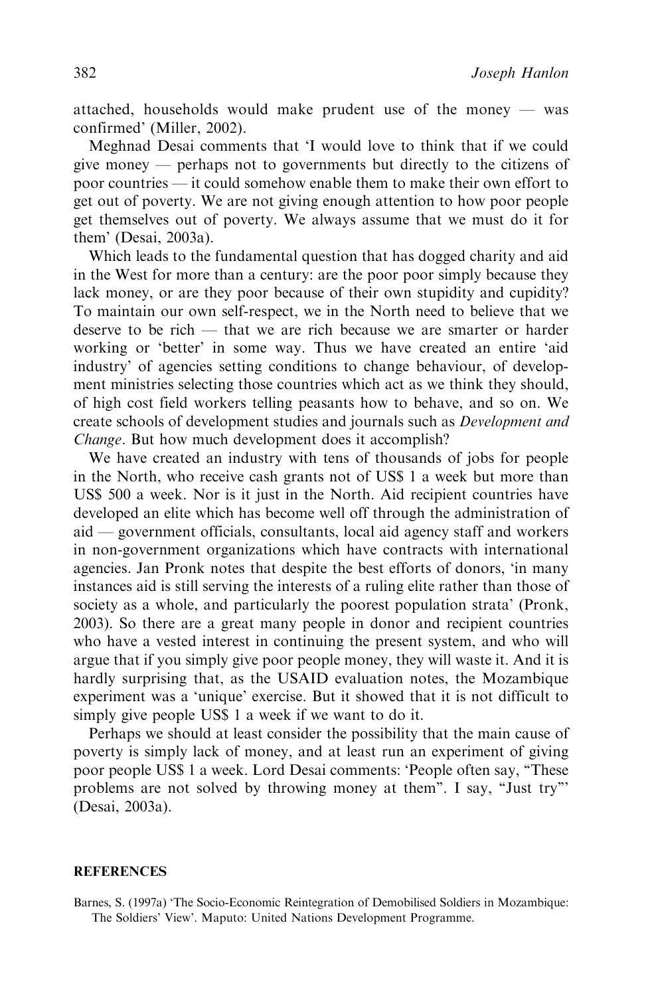attached, households would make prudent use of the money  $-$  was confirmed' (Miller, 2002).

Meghnad Desai comments that 'I would love to think that if we could give money — perhaps not to governments but directly to the citizens of poor countries — it could somehow enable them to make their own effort to get out of poverty. We are not giving enough attention to how poor people get themselves out of poverty. We always assume that we must do it for them' (Desai, 2003a).

Which leads to the fundamental question that has dogged charity and aid in the West for more than a century: are the poor poor simply because they lack money, or are they poor because of their own stupidity and cupidity? To maintain our own self-respect, we in the North need to believe that we deserve to be rich — that we are rich because we are smarter or harder working or 'better' in some way. Thus we have created an entire 'aid industry' of agencies setting conditions to change behaviour, of development ministries selecting those countries which act as we think they should, of high cost field workers telling peasants how to behave, and so on. We create schools of development studies and journals such as Development and Change. But how much development does it accomplish?

We have created an industry with tens of thousands of jobs for people in the North, who receive cash grants not of US\$ 1 a week but more than US\$ 500 a week. Nor is it just in the North. Aid recipient countries have developed an elite which has become well off through the administration of aid — government officials, consultants, local aid agency staff and workers in non-government organizations which have contracts with international agencies. Jan Pronk notes that despite the best efforts of donors, 'in many instances aid is still serving the interests of a ruling elite rather than those of society as a whole, and particularly the poorest population strata' (Pronk, 2003). So there are a great many people in donor and recipient countries who have a vested interest in continuing the present system, and who will argue that if you simply give poor people money, they will waste it. And it is hardly surprising that, as the USAID evaluation notes, the Mozambique experiment was a 'unique' exercise. But it showed that it is not difficult to simply give people US\$ 1 a week if we want to do it.

Perhaps we should at least consider the possibility that the main cause of poverty is simply lack of money, and at least run an experiment of giving poor people US\$ 1 a week. Lord Desai comments: 'People often say, ''These problems are not solved by throwing money at them". I say, "Just try"' (Desai, 2003a).

## **REFERENCES**

Barnes, S. (1997a) 'The Socio-Economic Reintegration of Demobilised Soldiers in Mozambique: The Soldiers' View'. Maputo: United Nations Development Programme.